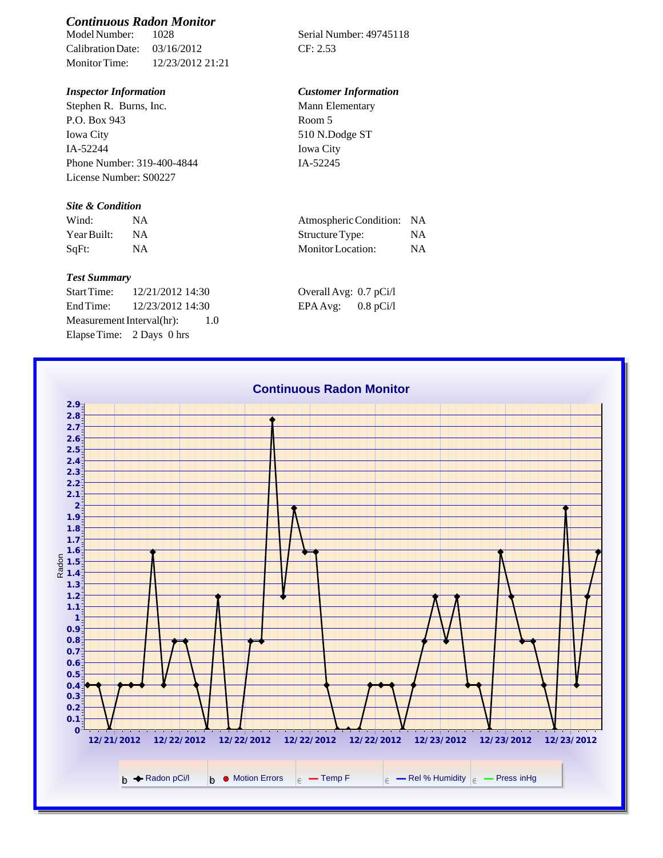# *Continuous Radon Monitor*

Calibration Date: 03/16/2012 CF: 2.53 Monitor Time: 12/23/2012 21:21

Stephen R. Burns, Inc. P.O. Box 943 Iowa City IA-52244 Phone Number: 319-400-4844 License Number: S00227

### *Site & Condition*

| Wind:       |    | Atmospheric Condition: NA |           |
|-------------|----|---------------------------|-----------|
| Year Built: | ΝA | Structure Type:           | NA        |
| SqFt:       |    | Monitor Location:         | <b>NA</b> |

#### *Test Summary*

Start Time: 12/21/2012 14:30 End Time:  $12/23/2012$  14:30 Measurement Interval(hr): 1.0 Elapse Time: 2 Days 0 hrs

Serial Number: 49745118

## *Inspector Information Customer Information*

Mann Elementary Room 5 510 N.Dodge ST Iowa City IA-52245

| Atmospheric Condition: | <b>NA</b> |
|------------------------|-----------|
| Structure Type:        | <b>NA</b> |
| Monitor Location:      | <b>NA</b> |

| Overall Avg: 0.7 pCi/l |             |
|------------------------|-------------|
| EPA Avg:               | $0.8$ pCi/l |

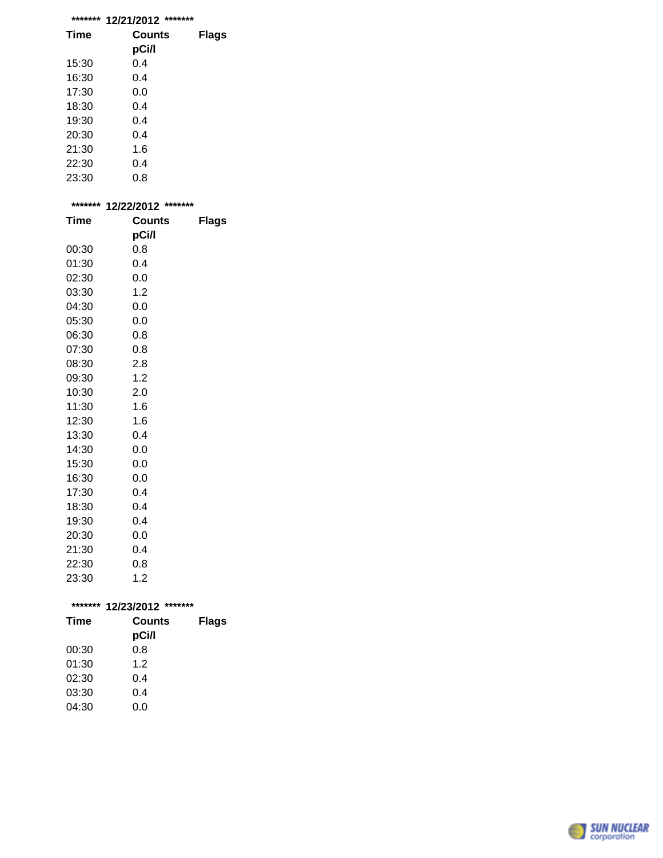|  | ******* 12/21/2012 ******* |  |
|--|----------------------------|--|
|--|----------------------------|--|

| <b>Time</b> | Counts<br>pCi/l | Flags |
|-------------|-----------------|-------|
| 15:30       | 0.4             |       |
| 16:30       | 0.4             |       |
| 17:30       | 0.0             |       |
| 18:30       | 0.4             |       |
| 19:30       | 0.4             |       |
| 20:30       | 0.4             |       |
| 21:30       | 1.6             |       |
| 22:30       | 0.4             |       |
| 23:30       | 0.8             |       |

| ******* | 12/22/2012 ******* |       |  |
|---------|--------------------|-------|--|
| Time    | <b>Counts</b>      | Flags |  |
|         | pCi/l              |       |  |
| 00:30   | 0.8                |       |  |
| 01:30   | 0.4                |       |  |
| 02:30   | 0.0                |       |  |
| 03:30   | 1.2                |       |  |
| 04:30   | 0.0                |       |  |
| 05:30   | 0.0                |       |  |
| 06:30   | 0.8                |       |  |
| 07:30   | 0.8                |       |  |
| 08:30   | 2.8                |       |  |
| 09:30   | 1.2                |       |  |
| 10:30   | 2.0                |       |  |
| 11:30   | 1.6                |       |  |
| 12:30   | 1.6                |       |  |
| 13:30   | 0.4                |       |  |
| 14:30   | 0.0                |       |  |
| 15:30   | 0.0                |       |  |
| 16:30   | 0.0                |       |  |
| 17:30   | 0.4                |       |  |
| 18:30   | 0.4                |       |  |
| 19:30   | 0.4                |       |  |
| 20:30   | 0.0                |       |  |
| 21:30   | 0.4                |       |  |
| 22:30   | 0.8                |       |  |
| 23:30   | 1.2                |       |  |

|       | ******* 12/23/2012 ******* |              |  |
|-------|----------------------------|--------------|--|
| Time  | <b>Counts</b>              | <b>Flags</b> |  |
|       | pCi/l                      |              |  |
| 00:30 | 0.8                        |              |  |
| 01:30 | 1.2                        |              |  |
| 02:30 | 0.4                        |              |  |
| 03:30 | 0.4                        |              |  |
| 04:30 | 0.0                        |              |  |